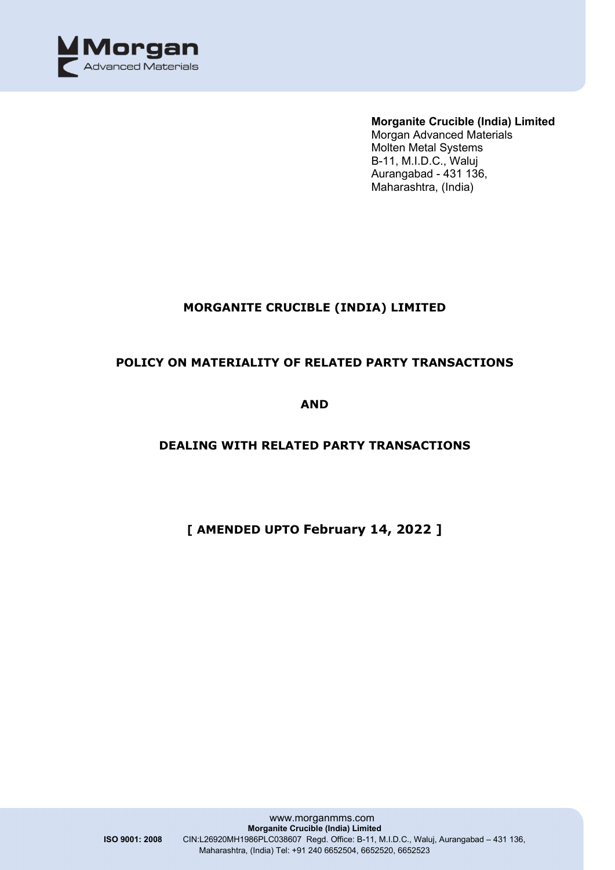

## **MORGANITE CRUCIBLE (INDIA) LIMITED**

### **POLICY ON MATERIALITY OF RELATED PARTY TRANSACTIONS**

**AND** 

## **DEALING WITH RELATED PARTY TRANSACTIONS**

# **[ AMENDED UPTO February 14, 2022 ]**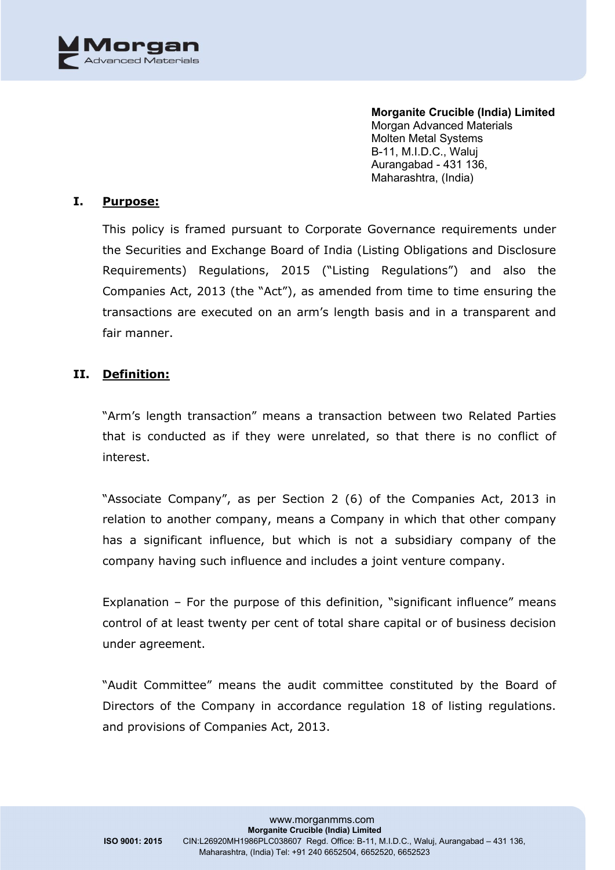

#### **I. Purpose:**

This policy is framed pursuant to Corporate Governance requirements under the Securities and Exchange Board of India (Listing Obligations and Disclosure Requirements) Regulations, 2015 ("Listing Regulations") and also the Companies Act, 2013 (the "Act"), as amended from time to time ensuring the transactions are executed on an arm's length basis and in a transparent and fair manner.

#### **II. Definition:**

"Arm's length transaction" means a transaction between two Related Parties that is conducted as if they were unrelated, so that there is no conflict of interest.

"Associate Company", as per Section 2 (6) of the Companies Act, 2013 in relation to another company, means a Company in which that other company has a significant influence, but which is not a subsidiary company of the company having such influence and includes a joint venture company.

Explanation – For the purpose of this definition, "significant influence" means control of at least twenty per cent of total share capital or of business decision under agreement.

"Audit Committee" means the audit committee constituted by the Board of Directors of the Company in accordance regulation 18 of listing regulations. and provisions of Companies Act, 2013.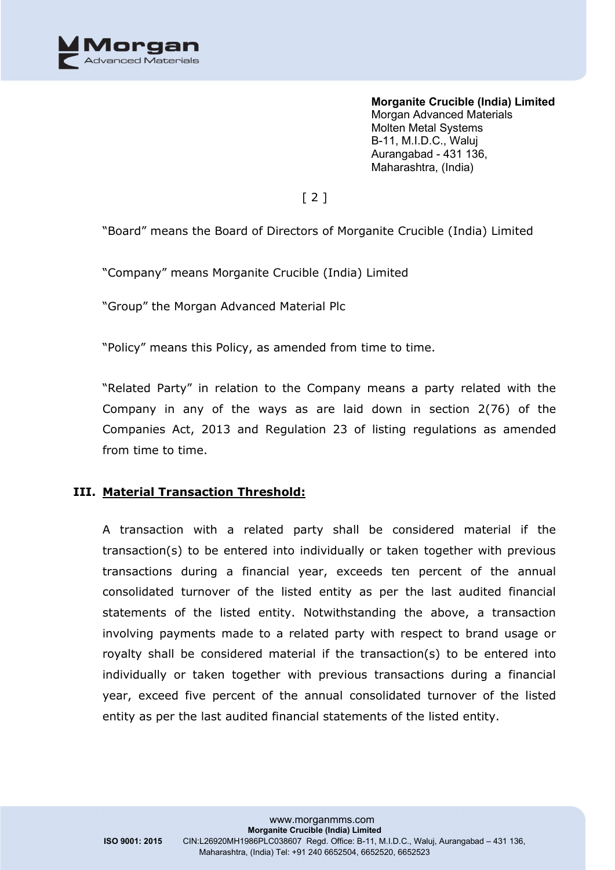

# $[2]$

"Board" means the Board of Directors of Morganite Crucible (India) Limited

"Company" means Morganite Crucible (India) Limited

"Group" the Morgan Advanced Material Plc

"Policy" means this Policy, as amended from time to time.

"Related Party" in relation to the Company means a party related with the Company in any of the ways as are laid down in section 2(76) of the Companies Act, 2013 and Regulation 23 of listing regulations as amended from time to time.

#### **III. Material Transaction Threshold:**

A transaction with a related party shall be considered material if the transaction(s) to be entered into individually or taken together with previous transactions during a financial year, exceeds ten percent of the annual consolidated turnover of the listed entity as per the last audited financial statements of the listed entity. Notwithstanding the above, a transaction involving payments made to a related party with respect to brand usage or royalty shall be considered material if the transaction(s) to be entered into individually or taken together with previous transactions during a financial year, exceed five percent of the annual consolidated turnover of the listed entity as per the last audited financial statements of the listed entity.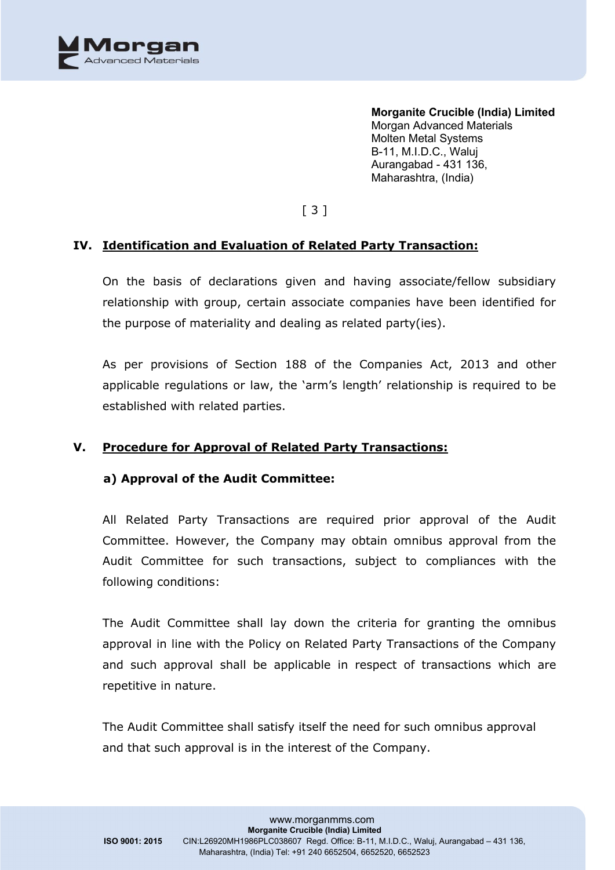

[ 3 ]

### **IV. Identification and Evaluation of Related Party Transaction:**

On the basis of declarations given and having associate/fellow subsidiary relationship with group, certain associate companies have been identified for the purpose of materiality and dealing as related party(ies).

As per provisions of Section 188 of the Companies Act, 2013 and other applicable regulations or law, the 'arm's length' relationship is required to be established with related parties.

#### **V. Procedure for Approval of Related Party Transactions:**

#### **a) Approval of the Audit Committee:**

All Related Party Transactions are required prior approval of the Audit Committee. However, the Company may obtain omnibus approval from the Audit Committee for such transactions, subject to compliances with the following conditions:

The Audit Committee shall lay down the criteria for granting the omnibus approval in line with the Policy on Related Party Transactions of the Company and such approval shall be applicable in respect of transactions which are repetitive in nature.

The Audit Committee shall satisfy itself the need for such omnibus approval and that such approval is in the interest of the Company.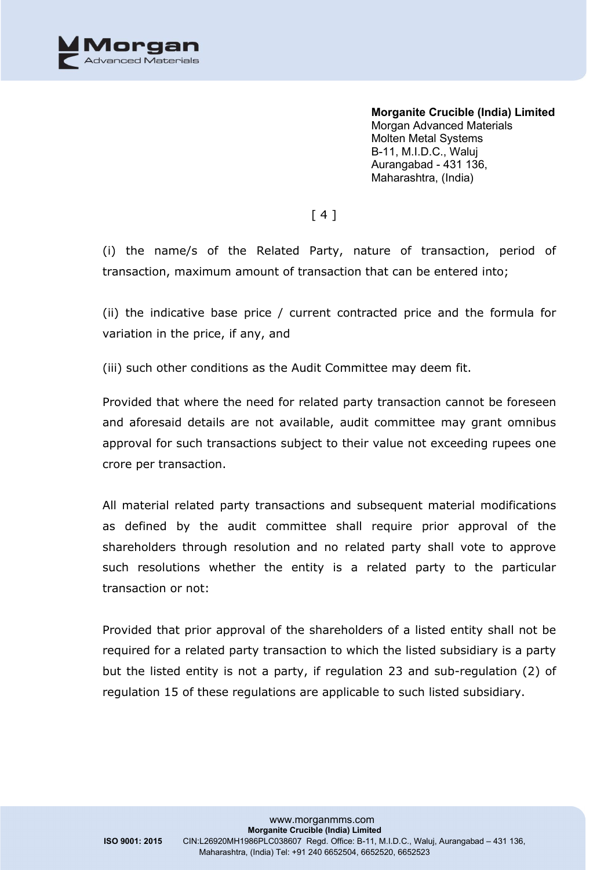

[ 4 ]

(i) the name/s of the Related Party, nature of transaction, period of transaction, maximum amount of transaction that can be entered into;

(ii) the indicative base price / current contracted price and the formula for variation in the price, if any, and

(iii) such other conditions as the Audit Committee may deem fit.

Provided that where the need for related party transaction cannot be foreseen and aforesaid details are not available, audit committee may grant omnibus approval for such transactions subject to their value not exceeding rupees one crore per transaction.

All material related party transactions and subsequent material modifications as defined by the audit committee shall require prior approval of the shareholders through resolution and no related party shall vote to approve such resolutions whether the entity is a related party to the particular transaction or not:

Provided that prior approval of the shareholders of a listed entity shall not be required for a related party transaction to which the listed subsidiary is a party but the listed entity is not a party, if regulation 23 and sub-regulation (2) of regulation 15 of these regulations are applicable to such listed subsidiary.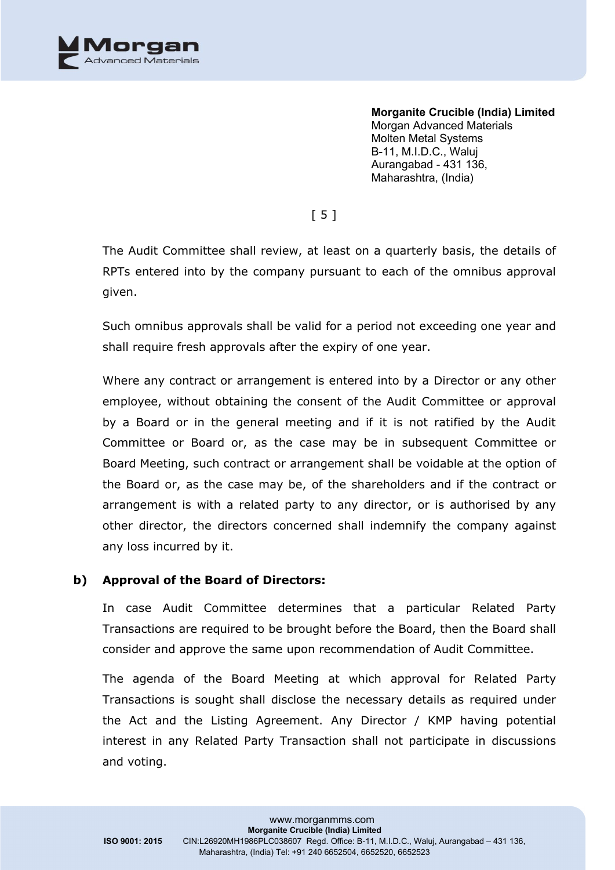

[ 5 ]

The Audit Committee shall review, at least on a quarterly basis, the details of RPTs entered into by the company pursuant to each of the omnibus approval given.

Such omnibus approvals shall be valid for a period not exceeding one year and shall require fresh approvals after the expiry of one year.

Where any contract or arrangement is entered into by a Director or any other employee, without obtaining the consent of the Audit Committee or approval by a Board or in the general meeting and if it is not ratified by the Audit Committee or Board or, as the case may be in subsequent Committee or Board Meeting, such contract or arrangement shall be voidable at the option of the Board or, as the case may be, of the shareholders and if the contract or arrangement is with a related party to any director, or is authorised by any other director, the directors concerned shall indemnify the company against any loss incurred by it.

#### **b) Approval of the Board of Directors:**

In case Audit Committee determines that a particular Related Party Transactions are required to be brought before the Board, then the Board shall consider and approve the same upon recommendation of Audit Committee.

The agenda of the Board Meeting at which approval for Related Party Transactions is sought shall disclose the necessary details as required under the Act and the Listing Agreement. Any Director / KMP having potential interest in any Related Party Transaction shall not participate in discussions and voting.